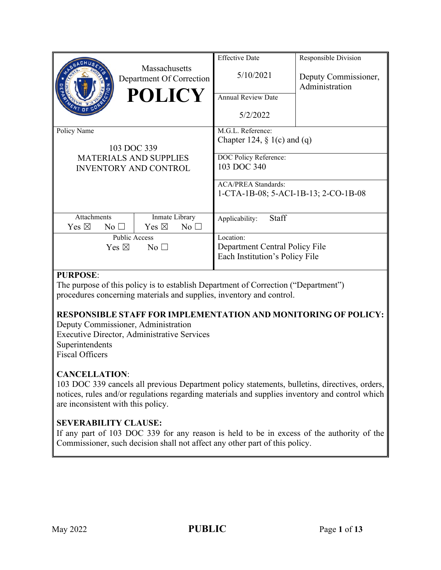|                                                                                             | Massachusetts<br>Department Of Correction<br><b>POLICY</b> | <b>Effective Date</b><br>5/10/2021<br><b>Annual Review Date</b><br>5/2/2022                                                                                       | Responsible Division<br>Deputy Commissioner,<br>Administration |
|---------------------------------------------------------------------------------------------|------------------------------------------------------------|-------------------------------------------------------------------------------------------------------------------------------------------------------------------|----------------------------------------------------------------|
| Policy Name<br>103 DOC 339<br><b>MATERIALS AND SUPPLIES</b><br><b>INVENTORY AND CONTROL</b> |                                                            | M.G.L. Reference:<br>Chapter 124, $\S$ 1(c) and (q)<br>DOC Policy Reference:<br>103 DOC 340<br><b>ACA/PREA Standards:</b><br>1-CTA-1B-08; 5-ACI-1B-13; 2-CO-1B-08 |                                                                |
| <b>Attachments</b><br>Yes $\boxtimes$<br>$No$ $\square$                                     | Inmate Library<br>Yes $\boxtimes$<br>$No$ $\square$        | Staff<br>Applicability:                                                                                                                                           |                                                                |
| Public Access<br>Yes $\boxtimes$<br>$\rm No$ $\Box$                                         |                                                            | Location:<br>Department Central Policy File<br>Each Institution's Policy File                                                                                     |                                                                |

### **PURPOSE**:

The purpose of this policy is to establish Department of Correction ("Department") procedures concerning materials and supplies, inventory and control.

## **RESPONSIBLE STAFF FOR IMPLEMENTATION AND MONITORING OF POLICY:**

Deputy Commissioner, Administration Executive Director, Administrative Services Superintendents Fiscal Officers

## **CANCELLATION**:

103 DOC 339 cancels all previous Department policy statements, bulletins, directives, orders, notices, rules and/or regulations regarding materials and supplies inventory and control which are inconsistent with this policy.

#### **SEVERABILITY CLAUSE:**

If any part of 103 DOC 339 for any reason is held to be in excess of the authority of the Commissioner, such decision shall not affect any other part of this policy.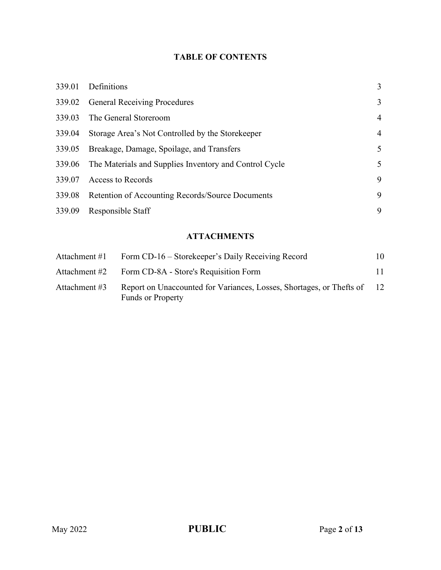# **TABLE OF CONTENTS**

| <b>General Receiving Procedures</b><br>3<br>339.02<br>339.03<br>The General Storeroom<br>4<br>339.04<br>Storage Area's Not Controlled by the Storekeeper<br>4<br>339.05<br>Breakage, Damage, Spoilage, and Transfers<br>5<br>339.06 The Materials and Supplies Inventory and Control Cycle<br>5<br>9<br>Access to Records<br>339.07<br>9<br><b>Retention of Accounting Records/Source Documents</b><br>339.08<br>Responsible Staff<br>9<br>339.09 | 339.01 | Definitions | 3 |
|---------------------------------------------------------------------------------------------------------------------------------------------------------------------------------------------------------------------------------------------------------------------------------------------------------------------------------------------------------------------------------------------------------------------------------------------------|--------|-------------|---|
|                                                                                                                                                                                                                                                                                                                                                                                                                                                   |        |             |   |
|                                                                                                                                                                                                                                                                                                                                                                                                                                                   |        |             |   |
|                                                                                                                                                                                                                                                                                                                                                                                                                                                   |        |             |   |
|                                                                                                                                                                                                                                                                                                                                                                                                                                                   |        |             |   |
|                                                                                                                                                                                                                                                                                                                                                                                                                                                   |        |             |   |
|                                                                                                                                                                                                                                                                                                                                                                                                                                                   |        |             |   |
|                                                                                                                                                                                                                                                                                                                                                                                                                                                   |        |             |   |
|                                                                                                                                                                                                                                                                                                                                                                                                                                                   |        |             |   |

# **ATTACHMENTS**

| Attachment #1 | Form CD-16 – Storekeeper's Daily Receiving Record                                                | 10  |
|---------------|--------------------------------------------------------------------------------------------------|-----|
| Attachment #2 | Form CD-8A - Store's Requisition Form                                                            | 11. |
| Attachment #3 | Report on Unaccounted for Variances, Losses, Shortages, or Thefts of<br><b>Funds or Property</b> | -12 |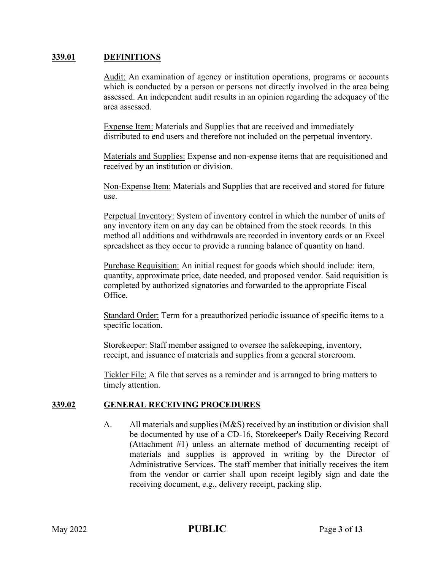#### **339.01 DEFINITIONS**

Audit: An examination of agency or institution operations, programs or accounts which is conducted by a person or persons not directly involved in the area being assessed. An independent audit results in an opinion regarding the adequacy of the area assessed.

Expense Item: Materials and Supplies that are received and immediately distributed to end users and therefore not included on the perpetual inventory.

Materials and Supplies: Expense and non-expense items that are requisitioned and received by an institution or division.

Non-Expense Item: Materials and Supplies that are received and stored for future use.

Perpetual Inventory: System of inventory control in which the number of units of any inventory item on any day can be obtained from the stock records. In this method all additions and withdrawals are recorded in inventory cards or an Excel spreadsheet as they occur to provide a running balance of quantity on hand.

Purchase Requisition: An initial request for goods which should include: item, quantity, approximate price, date needed, and proposed vendor. Said requisition is completed by authorized signatories and forwarded to the appropriate Fiscal Office.

Standard Order: Term for a preauthorized periodic issuance of specific items to a specific location.

Storekeeper: Staff member assigned to oversee the safekeeping, inventory, receipt, and issuance of materials and supplies from a general storeroom.

Tickler File: A file that serves as a reminder and is arranged to bring matters to timely attention.

#### **339.02 GENERAL RECEIVING PROCEDURES**

A. All materials and supplies (M&S) received by an institution or division shall be documented by use of a CD-16, Storekeeper's Daily Receiving Record (Attachment #1) unless an alternate method of documenting receipt of materials and supplies is approved in writing by the Director of Administrative Services. The staff member that initially receives the item from the vendor or carrier shall upon receipt legibly sign and date the receiving document, e.g., delivery receipt, packing slip.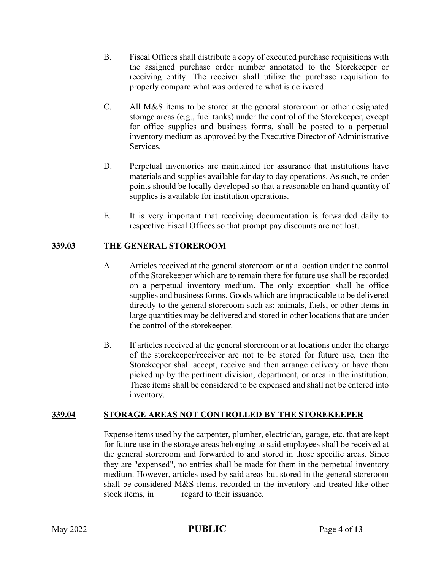- B. Fiscal Offices shall distribute a copy of executed purchase requisitions with the assigned purchase order number annotated to the Storekeeper or receiving entity. The receiver shall utilize the purchase requisition to properly compare what was ordered to what is delivered.
- C. All M&S items to be stored at the general storeroom or other designated storage areas (e.g., fuel tanks) under the control of the Storekeeper, except for office supplies and business forms, shall be posted to a perpetual inventory medium as approved by the Executive Director of Administrative Services.
- D. Perpetual inventories are maintained for assurance that institutions have materials and supplies available for day to day operations. As such, re-order points should be locally developed so that a reasonable on hand quantity of supplies is available for institution operations.
- E. It is very important that receiving documentation is forwarded daily to respective Fiscal Offices so that prompt pay discounts are not lost.

### **339.03 THE GENERAL STOREROOM**

- A. Articles received at the general storeroom or at a location under the control of the Storekeeper which are to remain there for future use shall be recorded on a perpetual inventory medium. The only exception shall be office supplies and business forms. Goods which are impracticable to be delivered directly to the general storeroom such as: animals, fuels, or other items in large quantities may be delivered and stored in other locations that are under the control of the storekeeper.
- B. If articles received at the general storeroom or at locations under the charge of the storekeeper/receiver are not to be stored for future use, then the Storekeeper shall accept, receive and then arrange delivery or have them picked up by the pertinent division, department, or area in the institution. These items shall be considered to be expensed and shall not be entered into inventory.

#### **339.04 STORAGE AREAS NOT CONTROLLED BY THE STOREKEEPER**

Expense items used by the carpenter, plumber, electrician, garage, etc. that are kept for future use in the storage areas belonging to said employees shall be received at the general storeroom and forwarded to and stored in those specific areas. Since they are "expensed", no entries shall be made for them in the perpetual inventory medium. However, articles used by said areas but stored in the general storeroom shall be considered M&S items, recorded in the inventory and treated like other stock items, in regard to their issuance.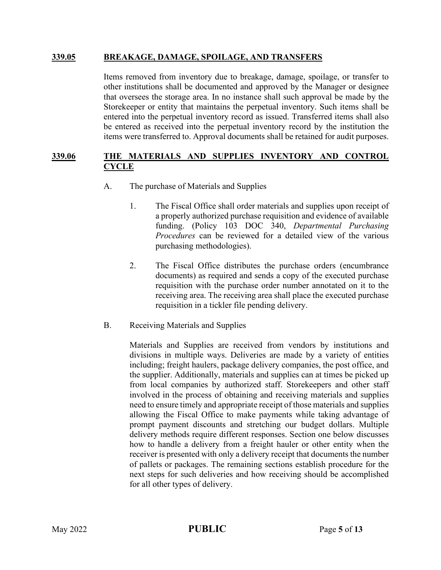#### **339.05 BREAKAGE, DAMAGE, SPOILAGE, AND TRANSFERS**

Items removed from inventory due to breakage, damage, spoilage, or transfer to other institutions shall be documented and approved by the Manager or designee that oversees the storage area. In no instance shall such approval be made by the Storekeeper or entity that maintains the perpetual inventory. Such items shall be entered into the perpetual inventory record as issued. Transferred items shall also be entered as received into the perpetual inventory record by the institution the items were transferred to. Approval documents shall be retained for audit purposes.

#### **339.06 THE MATERIALS AND SUPPLIES INVENTORY AND CONTROL CYCLE**

- A. The purchase of Materials and Supplies
	- 1. The Fiscal Office shall order materials and supplies upon receipt of a properly authorized purchase requisition and evidence of available funding. (Policy 103 DOC 340, *Departmental Purchasing Procedures* can be reviewed for a detailed view of the various purchasing methodologies).
	- 2. The Fiscal Office distributes the purchase orders (encumbrance documents) as required and sends a copy of the executed purchase requisition with the purchase order number annotated on it to the receiving area. The receiving area shall place the executed purchase requisition in a tickler file pending delivery.
- B. Receiving Materials and Supplies

Materials and Supplies are received from vendors by institutions and divisions in multiple ways. Deliveries are made by a variety of entities including; freight haulers, package delivery companies, the post office, and the supplier. Additionally, materials and supplies can at times be picked up from local companies by authorized staff. Storekeepers and other staff involved in the process of obtaining and receiving materials and supplies need to ensure timely and appropriate receipt of those materials and supplies allowing the Fiscal Office to make payments while taking advantage of prompt payment discounts and stretching our budget dollars. Multiple delivery methods require different responses. Section one below discusses how to handle a delivery from a freight hauler or other entity when the receiver is presented with only a delivery receipt that documents the number of pallets or packages. The remaining sections establish procedure for the next steps for such deliveries and how receiving should be accomplished for all other types of delivery.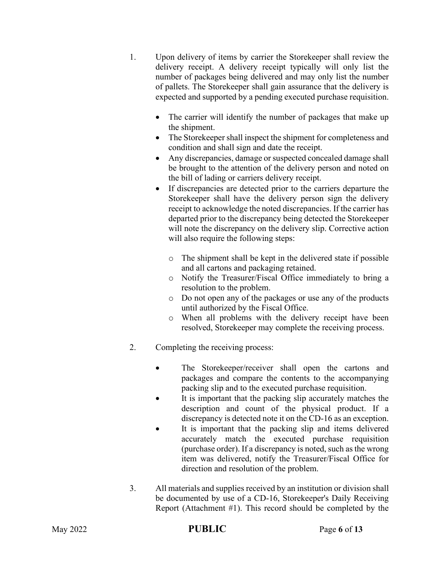- 1. Upon delivery of items by carrier the Storekeeper shall review the delivery receipt. A delivery receipt typically will only list the number of packages being delivered and may only list the number of pallets. The Storekeeper shall gain assurance that the delivery is expected and supported by a pending executed purchase requisition.
	- The carrier will identify the number of packages that make up the shipment.
	- The Storekeeper shall inspect the shipment for completeness and condition and shall sign and date the receipt.
	- Any discrepancies, damage or suspected concealed damage shall be brought to the attention of the delivery person and noted on the bill of lading or carriers delivery receipt.
	- If discrepancies are detected prior to the carriers departure the Storekeeper shall have the delivery person sign the delivery receipt to acknowledge the noted discrepancies. If the carrier has departed prior to the discrepancy being detected the Storekeeper will note the discrepancy on the delivery slip. Corrective action will also require the following steps:
		- o The shipment shall be kept in the delivered state if possible and all cartons and packaging retained.
		- o Notify the Treasurer/Fiscal Office immediately to bring a resolution to the problem.
		- o Do not open any of the packages or use any of the products until authorized by the Fiscal Office.
		- o When all problems with the delivery receipt have been resolved, Storekeeper may complete the receiving process.
- 2. Completing the receiving process:
	- The Storekeeper/receiver shall open the cartons and packages and compare the contents to the accompanying packing slip and to the executed purchase requisition.
	- It is important that the packing slip accurately matches the description and count of the physical product. If a discrepancy is detected note it on the CD-16 as an exception.
	- It is important that the packing slip and items delivered accurately match the executed purchase requisition (purchase order). If a discrepancy is noted, such as the wrong item was delivered, notify the Treasurer/Fiscal Office for direction and resolution of the problem.
- 3. All materials and supplies received by an institution or division shall be documented by use of a CD-16, Storekeeper's Daily Receiving Report (Attachment #1). This record should be completed by the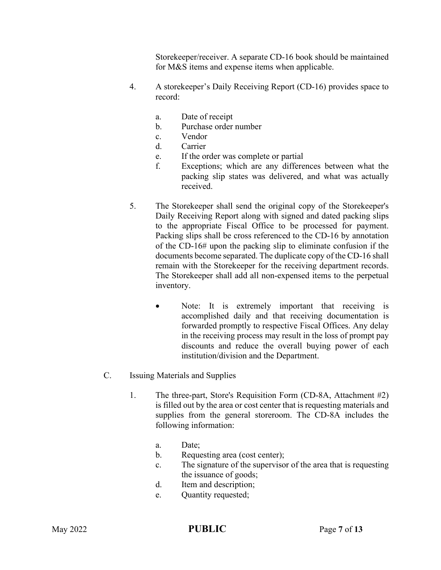Storekeeper/receiver. A separate CD-16 book should be maintained for M&S items and expense items when applicable.

- 4. A storekeeper's Daily Receiving Report (CD-16) provides space to record:
	- a. Date of receipt
	- b. Purchase order number
	- c. Vendor
	- d. Carrier
	- e. If the order was complete or partial
	- f. Exceptions; which are any differences between what the packing slip states was delivered, and what was actually received.
- 5. The Storekeeper shall send the original copy of the Storekeeper's Daily Receiving Report along with signed and dated packing slips to the appropriate Fiscal Office to be processed for payment. Packing slips shall be cross referenced to the CD-16 by annotation of the CD-16# upon the packing slip to eliminate confusion if the documents become separated. The duplicate copy of the CD-16 shall remain with the Storekeeper for the receiving department records. The Storekeeper shall add all non-expensed items to the perpetual inventory.
	- Note: It is extremely important that receiving is accomplished daily and that receiving documentation is forwarded promptly to respective Fiscal Offices. Any delay in the receiving process may result in the loss of prompt pay discounts and reduce the overall buying power of each institution/division and the Department.
- C. Issuing Materials and Supplies
	- 1. The three-part, Store's Requisition Form (CD-8A, Attachment #2) is filled out by the area or cost center that is requesting materials and supplies from the general storeroom. The CD-8A includes the following information:
		- a. Date;
		- b. Requesting area (cost center);
		- c. The signature of the supervisor of the area that is requesting the issuance of goods;
		- d. Item and description;
		- e. Quantity requested;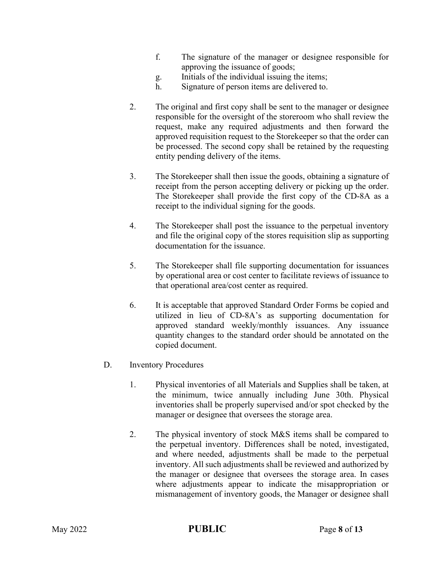- f. The signature of the manager or designee responsible for approving the issuance of goods;
- g. Initials of the individual issuing the items;
- h. Signature of person items are delivered to.
- 2. The original and first copy shall be sent to the manager or designee responsible for the oversight of the storeroom who shall review the request, make any required adjustments and then forward the approved requisition request to the Storekeeper so that the order can be processed. The second copy shall be retained by the requesting entity pending delivery of the items.
- 3. The Storekeeper shall then issue the goods, obtaining a signature of receipt from the person accepting delivery or picking up the order. The Storekeeper shall provide the first copy of the CD-8A as a receipt to the individual signing for the goods.
- 4. The Storekeeper shall post the issuance to the perpetual inventory and file the original copy of the stores requisition slip as supporting documentation for the issuance.
- 5. The Storekeeper shall file supporting documentation for issuances by operational area or cost center to facilitate reviews of issuance to that operational area/cost center as required.
- 6. It is acceptable that approved Standard Order Forms be copied and utilized in lieu of CD-8A's as supporting documentation for approved standard weekly/monthly issuances. Any issuance quantity changes to the standard order should be annotated on the copied document.
- D. Inventory Procedures
	- 1. Physical inventories of all Materials and Supplies shall be taken, at the minimum, twice annually including June 30th. Physical inventories shall be properly supervised and/or spot checked by the manager or designee that oversees the storage area.
	- 2. The physical inventory of stock M&S items shall be compared to the perpetual inventory. Differences shall be noted, investigated, and where needed, adjustments shall be made to the perpetual inventory. All such adjustments shall be reviewed and authorized by the manager or designee that oversees the storage area. In cases where adjustments appear to indicate the misappropriation or mismanagement of inventory goods, the Manager or designee shall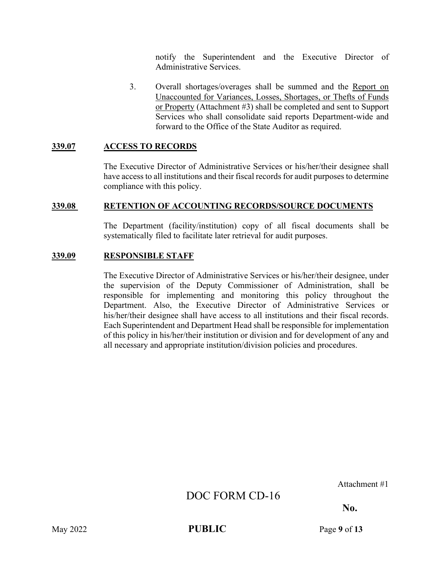notify the Superintendent and the Executive Director of Administrative Services.

3. Overall shortages/overages shall be summed and the Report on Unaccounted for Variances, Losses, Shortages, or Thefts of Funds or Property (Attachment #3) shall be completed and sent to Support Services who shall consolidate said reports Department-wide and forward to the Office of the State Auditor as required.

#### **339.07 ACCESS TO RECORDS**

The Executive Director of Administrative Services or his/her/their designee shall have access to all institutions and their fiscal records for audit purposes to determine compliance with this policy.

#### **339.08 RETENTION OF ACCOUNTING RECORDS/SOURCE DOCUMENTS**

The Department (facility/institution) copy of all fiscal documents shall be systematically filed to facilitate later retrieval for audit purposes.

#### **339.09 RESPONSIBLE STAFF**

The Executive Director of Administrative Services or his/her/their designee, under the supervision of the Deputy Commissioner of Administration, shall be responsible for implementing and monitoring this policy throughout the Department. Also, the Executive Director of Administrative Services or his/her/their designee shall have access to all institutions and their fiscal records. Each Superintendent and Department Head shall be responsible for implementation of this policy in his/her/their institution or division and for development of any and all necessary and appropriate institution/division policies and procedures.

Attachment #1

# DOC FORM CD-16

**No.** 

May 2022 **PUBLIC** Page 9 of 13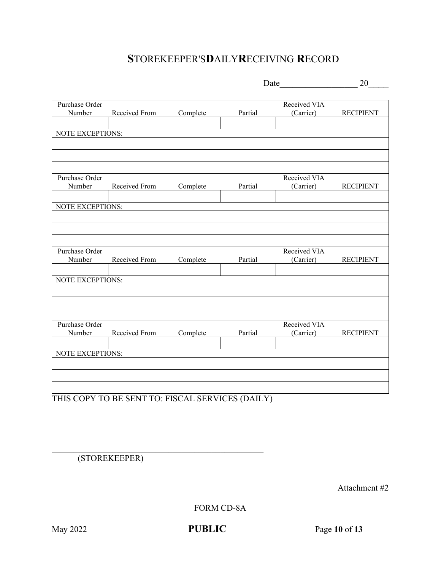# **S**TOREKEEPER'S**D**AILY**R**ECEIVING **R**ECORD

|                         |               |          |         | Date         | 20               |
|-------------------------|---------------|----------|---------|--------------|------------------|
|                         |               |          |         |              |                  |
| Purchase Order          |               |          |         | Received VIA |                  |
| Number                  | Received From | Complete | Partial | (Carrier)    | <b>RECIPIENT</b> |
|                         |               |          |         |              |                  |
| NOTE EXCEPTIONS:        |               |          |         |              |                  |
|                         |               |          |         |              |                  |
|                         |               |          |         |              |                  |
|                         |               |          |         |              |                  |
| Purchase Order          |               |          |         | Received VIA |                  |
| Number                  | Received From | Complete | Partial | (Carrier)    | <b>RECIPIENT</b> |
|                         |               |          |         |              |                  |
| NOTE EXCEPTIONS:        |               |          |         |              |                  |
|                         |               |          |         |              |                  |
|                         |               |          |         |              |                  |
|                         |               |          |         |              |                  |
| Purchase Order          |               |          |         | Received VIA |                  |
| Number                  | Received From | Complete | Partial | (Carrier)    | <b>RECIPIENT</b> |
|                         |               |          |         |              |                  |
| <b>NOTE EXCEPTIONS:</b> |               |          |         |              |                  |
|                         |               |          |         |              |                  |
|                         |               |          |         |              |                  |
|                         |               |          |         |              |                  |
| Purchase Order          |               |          |         | Received VIA |                  |
| Number                  | Received From | Complete | Partial | (Carrier)    | <b>RECIPIENT</b> |
|                         |               |          |         |              |                  |
| <b>NOTE EXCEPTIONS:</b> |               |          |         |              |                  |
|                         |               |          |         |              |                  |
|                         |               |          |         |              |                  |
|                         |               |          |         |              |                  |

THIS COPY TO BE SENT TO: FISCAL SERVICES (DAILY)

(STOREKEEPER)

Attachment #2

FORM CD-8A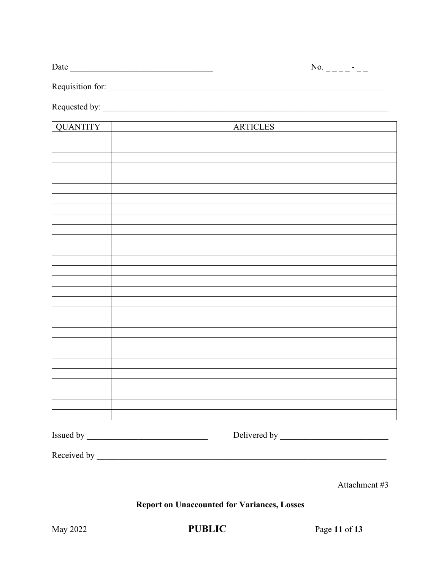Requisition for:

Requested by: \_\_\_\_\_\_\_\_\_\_\_\_\_\_\_\_\_\_\_\_\_\_\_\_\_\_\_\_\_\_\_\_\_\_\_\_\_\_\_\_\_\_\_\_\_\_\_\_\_\_\_\_\_\_\_\_\_\_\_\_\_\_\_\_\_\_

| <b>QUANTITY</b> | <b>ARTICLES</b> |
|-----------------|-----------------|
|                 |                 |
|                 |                 |
|                 |                 |
|                 |                 |
|                 |                 |
|                 |                 |
|                 |                 |
|                 |                 |
|                 |                 |
|                 |                 |
|                 |                 |
|                 |                 |
|                 |                 |
|                 |                 |
|                 |                 |
|                 |                 |
|                 |                 |
|                 |                 |
|                 |                 |
|                 |                 |
|                 |                 |
|                 |                 |
|                 |                 |
|                 |                 |
|                 |                 |
|                 |                 |
| Issued by _     |                 |

Received by \_\_\_\_\_\_\_\_\_\_\_\_\_\_\_\_\_\_\_\_\_\_\_\_\_\_\_\_\_\_\_\_\_\_\_\_\_\_\_\_\_\_\_\_\_\_\_\_\_\_\_\_\_\_\_\_\_\_\_\_\_\_\_\_\_\_\_

Attachment #3

**Report on Unaccounted for Variances, Losses** 

May 2022 **PUBLIC** Page 11 of 13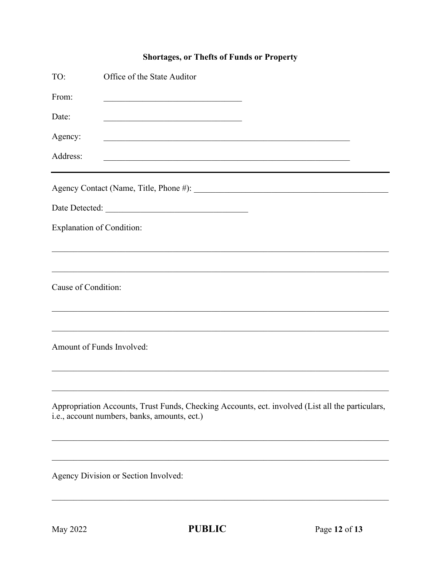# **Shortages, or Thefts of Funds or Property**

| TO:                              | Office of the State Auditor                                                                                                                      |
|----------------------------------|--------------------------------------------------------------------------------------------------------------------------------------------------|
| From:                            | <u> 1989 - Johann Barbara, martin amerikan ba</u>                                                                                                |
| Date:                            | <u> 1990 - Johann John Stoff, mars and de British and de British and de British and de British and de British and </u>                           |
| Agency:                          |                                                                                                                                                  |
| Address:                         |                                                                                                                                                  |
|                                  |                                                                                                                                                  |
|                                  |                                                                                                                                                  |
| <b>Explanation of Condition:</b> |                                                                                                                                                  |
|                                  |                                                                                                                                                  |
| Cause of Condition:              |                                                                                                                                                  |
|                                  |                                                                                                                                                  |
| Amount of Funds Involved:        |                                                                                                                                                  |
|                                  |                                                                                                                                                  |
|                                  | Appropriation Accounts, Trust Funds, Checking Accounts, ect. involved (List all the particulars,<br>i.e., account numbers, banks, amounts, ect.) |
|                                  |                                                                                                                                                  |
|                                  | Agency Division or Section Involved:                                                                                                             |